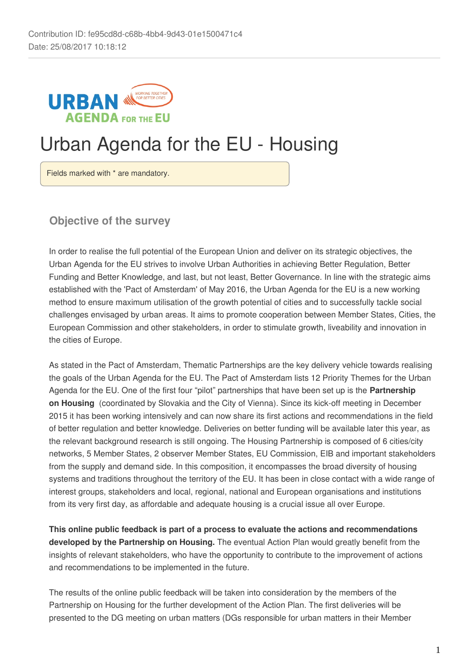

# Urban Agenda for the EU - Housing

Fields marked with \* are mandatory.

**Objective of the survey**

In order to realise the full potential of the European Union and deliver on its strategic objectives, the Urban Agenda for the EU strives to involve Urban Authorities in achieving Better Regulation, Better Funding and Better Knowledge, and last, but not least, Better Governance. In line with the strategic aims established with the 'Pact of Amsterdam' of May 2016, the Urban Agenda for the EU is a new working method to ensure maximum utilisation of the growth potential of cities and to successfully tackle social challenges envisaged by urban areas. It aims to promote cooperation between Member States, Cities, the European Commission and other stakeholders, in order to stimulate growth, liveability and innovation in the cities of Europe.

As stated in the Pact of Amsterdam, Thematic Partnerships are the key delivery vehicle towards realising the goals of the Urban Agenda for the EU. The Pact of Amsterdam lists 12 Priority Themes for the Urban Agenda for the EU. One of the first four "pilot" partnerships that have been set up is the **Partnership on Housing**  (coordinated by Slovakia and the City of Vienna). Since its kick-off meeting in December 2015 it has been working intensively and can now share its first actions and recommendations in the field of better regulation and better knowledge. Deliveries on better funding will be available later this year, as the relevant background research is still ongoing. The Housing Partnership is composed of 6 cities/city networks, 5 Member States, 2 observer Member States, EU Commission, EIB and important stakeholders from the supply and demand side. In this composition, it encompasses the broad diversity of housing systems and traditions throughout the territory of the EU. It has been in close contact with a wide range of interest groups, stakeholders and local, regional, national and European organisations and institutions from its very first day, as affordable and adequate housing is a crucial issue all over Europe.

**This online public feedback is part of a process to evaluate the actions and recommendations developed by the Partnership on Housing.** The eventual Action Plan would greatly benefit from the insights of relevant stakeholders, who have the opportunity to contribute to the improvement of actions and recommendations to be implemented in the future.

The results of the online public feedback will be taken into consideration by the members of the Partnership on Housing for the further development of the Action Plan. The first deliveries will be presented to the DG meeting on urban matters (DGs responsible for urban matters in their Member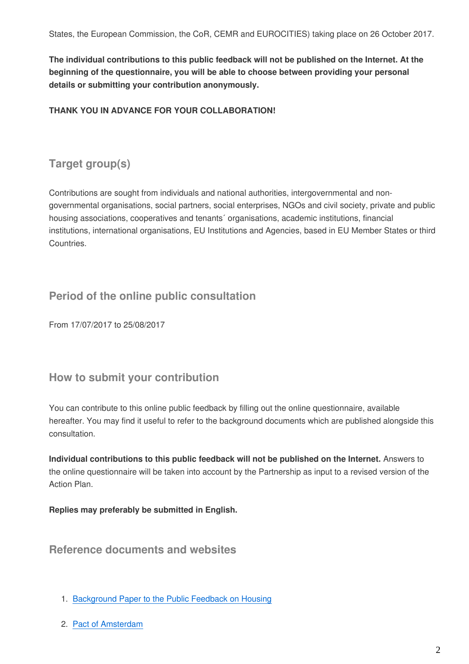**The individual contributions to this public feedback will not be published on the Internet. At the beginning of the questionnaire, you will be able to choose between providing your personal details or submitting your contribution anonymously.**

#### **THANK YOU IN ADVANCE FOR YOUR COLLABORATION!**

# **Target group(s)**

Contributions are sought from individuals and national authorities, intergovernmental and nongovernmental organisations, social partners, social enterprises, NGOs and civil society, private and public housing associations, cooperatives and tenants´ organisations, academic institutions, financial institutions, international organisations, EU Institutions and Agencies, based in EU Member States or third Countries.

# **Period of the online public consultation**

From 17/07/2017 to 25/08/2017

# **How to submit your contribution**

You can contribute to this online public feedback by filling out the online questionnaire, available hereafter. You may find it useful to refer to the background documents which are published alongside this consultation.

**Individual contributions to this public feedback will not be published on the Internet.** Answers to the online questionnaire will be taken into account by the Partnership as input to a revised version of the Action Plan.

**Replies may preferably be submitted in English.**

**Reference documents and websites** 

- 1. [Background Paper to the Public Feedback on Housing](https://ec.europa.eu/futurium/en/housing/background-paper-public-feedback)
- 2. [Pact of Amsterdam](https://ec.europa.eu/futurium/en/content/pact-amsterdam)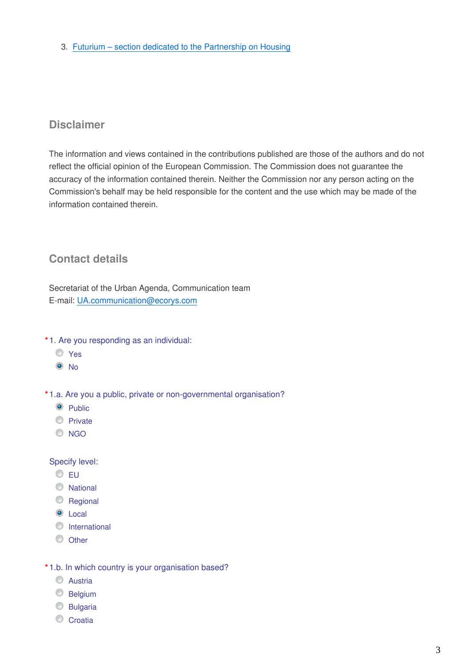3. [Futurium – section dedicated to the Partnership on Housing](https://ec.europa.eu/futurium/en/housing)

# **Disclaimer**

The information and views contained in the contributions published are those of the authors and do not reflect the official opinion of the European Commission. The Commission does not guarantee the accuracy of the information contained therein. Neither the Commission nor any person acting on the Commission's behalf may be held responsible for the content and the use which may be made of the information contained therein.

# **Contact details**

Secretariat of the Urban Agenda, Communication team E-mail: UA.communication@ecorys.com

- **\*** 1. Are you responding as an individual:
	- Yes
	- <sup>O</sup>No

**\*** 1.a. Are you a public, private or non-governmental organisation?

- **O** Public
- **Private**
- C NGO

#### Specify level:

- $\odot$  FU
- National
- C Regional
- C Local
- **O** International
- O Other
- **\*** 1.b. In which country is your organisation based?
	- **C** Austria
	- **Belgium**
	- **Bulgaria**
	- Croatia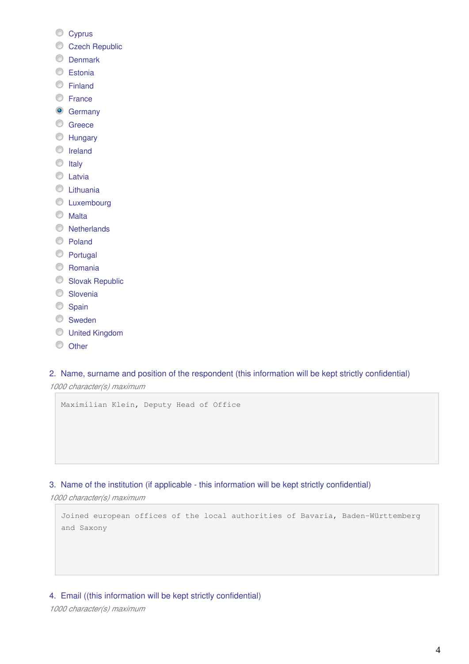- Cyprus
- Czech Republic
- **O** Denmark
- C Estonia
- **Einland**
- **C** France
- **Germany**
- C Greece
- **EXT** Hungary
- **O** Ireland
- $\circ$  Italy
- **C** Latvia
- **C** Lithuania
- **C** Luxembourg
- **O** Malta
- **Netherlands**
- Poland
- **Portugal**
- C Romania
- **Slovak Republic**
- **Slovenia**
- Spain
- **Sweden**
- United Kingdom
- © Other

2. Name, surname and position of the respondent (this information will be kept strictly confidential)

*1000 character(s) maximum*

```
Maximilian Klein, Deputy Head of Office
```
3. Name of the institution (if applicable - this information will be kept strictly confidential)

*1000 character(s) maximum*

Joined european offices of the local authorities of Bavaria, Baden-Württemberg and Saxony

#### 4. Email ((this information will be kept strictly confidential)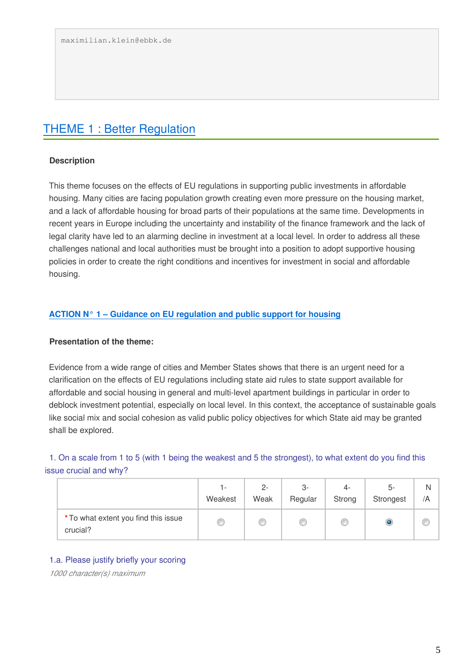# [THEME 1 : Better Regulation](https://ec.europa.eu/futurium/en/housing/background-paper-public-feedback#Better%20Regulation)

#### **Description**

This theme focuses on the effects of EU regulations in supporting public investments in affordable housing. Many cities are facing population growth creating even more pressure on the housing market, and a lack of affordable housing for broad parts of their populations at the same time. Developments in recent years in Europe including the uncertainty and instability of the finance framework and the lack of legal clarity have led to an alarming decline in investment at a local level. In order to address all these challenges national and local authorities must be brought into a position to adopt supportive housing policies in order to create the right conditions and incentives for investment in social and affordable housing.

#### **[ACTION N° 1 – Guidance on EU regulation and public support for housing](https://ec.europa.eu/futurium/en/housing/background-paper-public-feedback#Action%201)**

#### **Presentation of the theme:**

Evidence from a wide range of cities and Member States shows that there is an urgent need for a clarification on the effects of EU regulations including state aid rules to state support available for affordable and social housing in general and multi-level apartment buildings in particular in order to deblock investment potential, especially on local level. In this context, the acceptance of sustainable goals like social mix and social cohesion as valid public policy objectives for which State aid may be granted shall be explored.

1. On a scale from 1 to 5 (with 1 being the weakest and 5 the strongest), to what extent do you find this issue crucial and why?

|                                                  | ı –<br>Weakest | $2 -$<br>Weak | 3-<br>Regular | 4-<br>Strong | 5-<br>Strongest | /A |
|--------------------------------------------------|----------------|---------------|---------------|--------------|-----------------|----|
| * To what extent you find this issue<br>crucial? | O              | w             |               |              |                 |    |

#### 1.a. Please justify briefly your scoring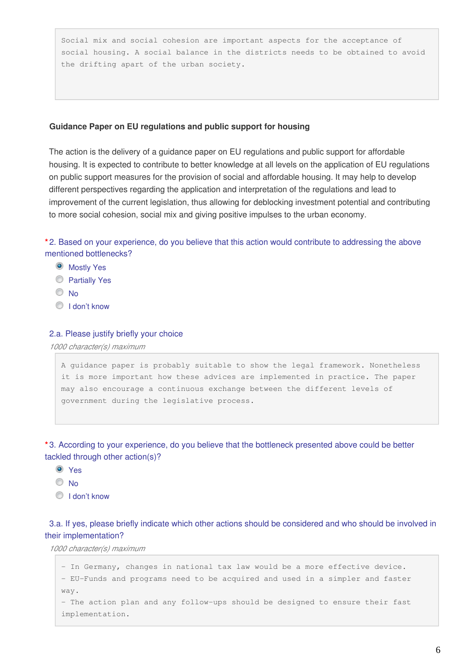Social mix and social cohesion are important aspects for the acceptance of social housing. A social balance in the districts needs to be obtained to avoid the drifting apart of the urban society.

#### **Guidance Paper on EU regulations and public support for housing**

The action is the delivery of a guidance paper on EU regulations and public support for affordable housing. It is expected to contribute to better knowledge at all levels on the application of EU regulations on public support measures for the provision of social and affordable housing. It may help to develop different perspectives regarding the application and interpretation of the regulations and lead to improvement of the current legislation, thus allowing for deblocking investment potential and contributing to more social cohesion, social mix and giving positive impulses to the urban economy.

**\*** 2. Based on your experience, do you believe that this action would contribute to addressing the above mentioned bottlenecks?

- **O** Mostly Yes
- **Partially Yes**
- $\odot$  No
- $\bigcirc$  I don't know

#### 2.a. Please justify briefly your choice

*1000 character(s) maximum*

A guidance paper is probably suitable to show the legal framework. Nonetheless it is more important how these advices are implemented in practice. The paper may also encourage a continuous exchange between the different levels of government during the legislative process.

**\*** 3. According to your experience, do you believe that the bottleneck presented above could be better tackled through other action(s)?

- Yes
- $\odot$  No
- **I** don't know

3.a. If yes, please briefly indicate which other actions should be considered and who should be involved in their implementation?

```
- In Germany, changes in national tax law would be a more effective device.
- EU-Funds and programs need to be acquired and used in a simpler and faster 
way.
- The action plan and any follow-ups should be designed to ensure their fast 
implementation.
```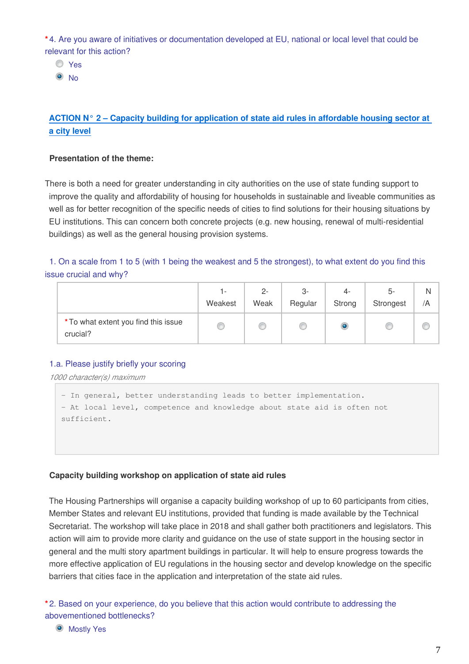**\*** 4. Are you aware of initiatives or documentation developed at EU, national or local level that could be relevant for this action?

Yes

 $\odot$  No

## **[ACTION N° 2 – Capacity building for application of state aid rules in affordable housing sector at](https://ec.europa.eu/futurium/en/housing/background-paper-public-feedback#Action%202)  [a city level](https://ec.europa.eu/futurium/en/housing/background-paper-public-feedback#Action%202)**

#### **Presentation of the theme:**

There is both a need for greater understanding in city authorities on the use of state funding support to improve the quality and affordability of housing for households in sustainable and liveable communities as well as for better recognition of the specific needs of cities to find solutions for their housing situations by EU institutions. This can concern both concrete projects (e.g. new housing, renewal of multi-residential buildings) as well as the general housing provision systems.

#### 1. On a scale from 1 to 5 (with 1 being the weakest and 5 the strongest), to what extent do you find this issue crucial and why?

|                                                  | $\overline{a}$<br>Weakest | $2 -$<br>Weak | 3-<br>Regular | 4-<br>Strong | 5-<br>Strongest | /A |
|--------------------------------------------------|---------------------------|---------------|---------------|--------------|-----------------|----|
| * To what extent you find this issue<br>crucial? | C                         | O             |               | O            |                 |    |

#### 1.a. Please justify briefly your scoring

*1000 character(s) maximum*

```
- In general, better understanding leads to better implementation.
- At local level, competence and knowledge about state aid is often not 
sufficient.
```
#### **Capacity building workshop on application of state aid rules**

The Housing Partnerships will organise a capacity building workshop of up to 60 participants from cities, Member States and relevant EU institutions, provided that funding is made available by the Technical Secretariat. The workshop will take place in 2018 and shall gather both practitioners and legislators. This action will aim to provide more clarity and guidance on the use of state support in the housing sector in general and the multi story apartment buildings in particular. It will help to ensure progress towards the more effective application of EU regulations in the housing sector and develop knowledge on the specific barriers that cities face in the application and interpretation of the state aid rules.

**\*** 2. Based on your experience, do you believe that this action would contribute to addressing the abovementioned bottlenecks?

**O** Mostly Yes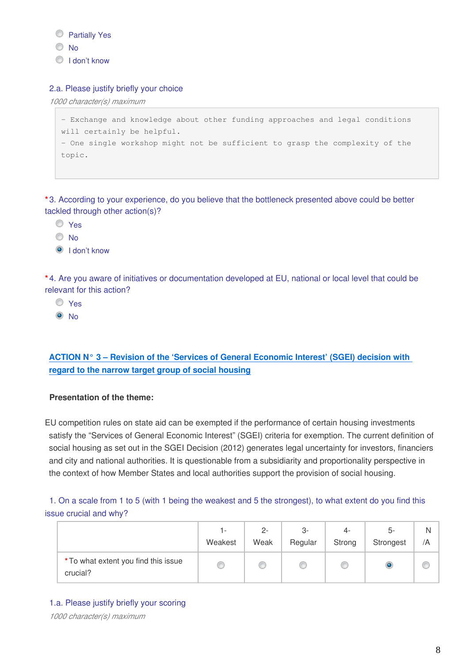**Partially Yes** 

- © No
- I don't know

#### 2.a. Please justify briefly your choice

*1000 character(s) maximum*

```
- Exchange and knowledge about other funding approaches and legal conditions 
will certainly be helpful. 
- One single workshop might not be sufficient to grasp the complexity of the 
topic.
```
**\*** 3. According to your experience, do you believe that the bottleneck presented above could be better tackled through other action(s)?

- Yes
- $\odot$  No
- I don't know

**\*** 4. Are you aware of initiatives or documentation developed at EU, national or local level that could be relevant for this action?

- O Yes
- $\odot$  No

# **[ACTION N° 3 – Revision of the 'Services of General Economic Interest' \(SGEI\) decision with](https://ec.europa.eu/futurium/en/housing/background-paper-public-feedback#Action%203)  [regard to the narrow target group of social housing](https://ec.europa.eu/futurium/en/housing/background-paper-public-feedback#Action%203)**

#### **Presentation of the theme:**

EU competition rules on state aid can be exempted if the performance of certain housing investments satisfy the "Services of General Economic Interest" (SGEI) criteria for exemption. The current definition of social housing as set out in the SGEI Decision (2012) generates legal uncertainty for investors, financiers and city and national authorities. It is questionable from a subsidiarity and proportionality perspective in the context of how Member States and local authorities support the provision of social housing.

1. On a scale from 1 to 5 (with 1 being the weakest and 5 the strongest), to what extent do you find this issue crucial and why?

|                                                  | 1 -<br>Weakest | $2 -$<br>Weak | 3-<br>Regular | 4-<br>Strong | 5-<br>Strongest | /A |
|--------------------------------------------------|----------------|---------------|---------------|--------------|-----------------|----|
| * To what extent you find this issue<br>crucial? | C              | C             |               |              |                 |    |

1.a. Please justify briefly your scoring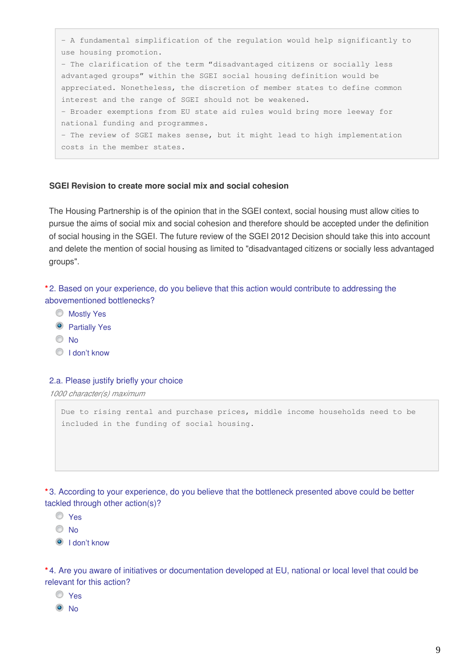- A fundamental simplification of the regulation would help significantly to use housing promotion. - The clarification of the term "disadvantaged citizens or socially less advantaged groups" within the SGEI social housing definition would be appreciated. Nonetheless, the discretion of member states to define common interest and the range of SGEI should not be weakened. - Broader exemptions from EU state aid rules would bring more leeway for national funding and programmes. - The review of SGEI makes sense, but it might lead to high implementation costs in the member states.

#### **SGEI Revision to create more social mix and social cohesion**

The Housing Partnership is of the opinion that in the SGEI context, social housing must allow cities to pursue the aims of social mix and social cohesion and therefore should be accepted under the definition of social housing in the SGEI. The future review of the SGEI 2012 Decision should take this into account and delete the mention of social housing as limited to "disadvantaged citizens or socially less advantaged groups".

**\*** 2. Based on your experience, do you believe that this action would contribute to addressing the abovementioned bottlenecks?

- **Mostly Yes**
- **O** Partially Yes
- $\odot$  No
- <sup>O</sup> I don't know

#### 2.a. Please justify briefly your choice

*1000 character(s) maximum*

Due to rising rental and purchase prices, middle income households need to be included in the funding of social housing.

**\*** 3. According to your experience, do you believe that the bottleneck presented above could be better tackled through other action(s)?

- O Yes
- © No

<sup>O</sup> I don't know

**\*** 4. Are you aware of initiatives or documentation developed at EU, national or local level that could be relevant for this action?

- O Yes
- <sup>O</sup>No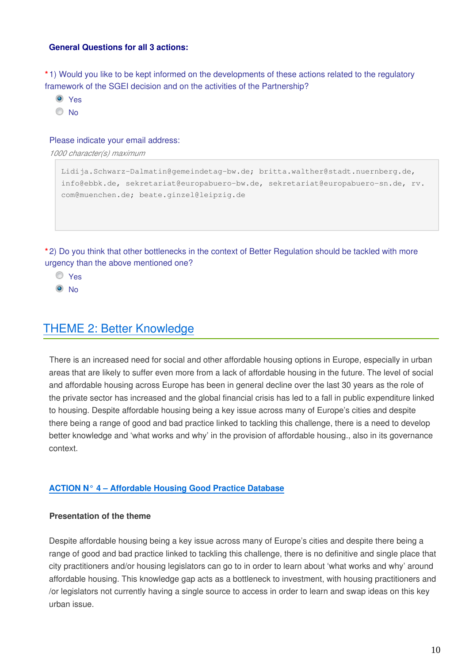#### **General Questions for all 3 actions:**

**\*** 1) Would you like to be kept informed on the developments of these actions related to the regulatory framework of the SGEI decision and on the activities of the Partnership?

- Yes
- No

#### Please indicate your email address:

*1000 character(s) maximum*

```
Lidija.Schwarz-Dalmatin@gemeindetag-bw.de; britta.walther@stadt.nuernberg.de, 
info@ebbk.de, sekretariat@europabuero-bw.de, sekretariat@europabuero-sn.de, rv.
com@muenchen.de; beate.ginzel@leipzig.de
```
**\*** 2) Do you think that other bottlenecks in the context of Better Regulation should be tackled with more urgency than the above mentioned one?

- Yes
- <sup>O</sup>No

# [THEME 2: Better Knowledge](https://ec.europa.eu/futurium/en/housing/background-paper-public-feedback#Better%20Knowledge)

There is an increased need for social and other affordable housing options in Europe, especially in urban areas that are likely to suffer even more from a lack of affordable housing in the future. The level of social and affordable housing across Europe has been in general decline over the last 30 years as the role of the private sector has increased and the global financial crisis has led to a fall in public expenditure linked to housing. Despite affordable housing being a key issue across many of Europe's cities and despite there being a range of good and bad practice linked to tackling this challenge, there is a need to develop better knowledge and 'what works and why' in the provision of affordable housing., also in its governance context.

#### **[ACTION N° 4 – Affordable Housing Good Practice Database](https://ec.europa.eu/futurium/en/housing/background-paper-public-feedback#Action%204)**

#### **Presentation of the theme**

Despite affordable housing being a key issue across many of Europe's cities and despite there being a range of good and bad practice linked to tackling this challenge, there is no definitive and single place that city practitioners and/or housing legislators can go to in order to learn about 'what works and why' around affordable housing. This knowledge gap acts as a bottleneck to investment, with housing practitioners and /or legislators not currently having a single source to access in order to learn and swap ideas on this key urban issue.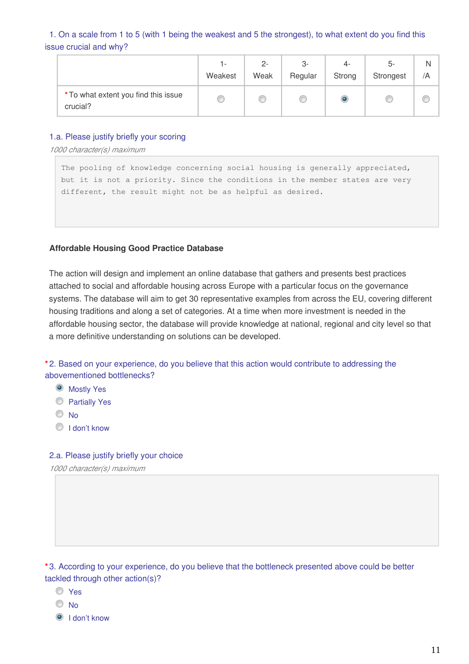1. On a scale from 1 to 5 (with 1 being the weakest and 5 the strongest), to what extent do you find this issue crucial and why?

|                                                  | l –<br>Weakest | $2 -$<br>Weak | 3-<br>Regular | 4-<br>Strong | 5-<br>Strongest | /A |
|--------------------------------------------------|----------------|---------------|---------------|--------------|-----------------|----|
| * To what extent you find this issue<br>crucial? | O              | c             |               |              |                 |    |

#### 1.a. Please justify briefly your scoring

*1000 character(s) maximum*

The pooling of knowledge concerning social housing is generally appreciated, but it is not a priority. Since the conditions in the member states are very different, the result might not be as helpful as desired.

#### **Affordable Housing Good Practice Database**

The action will design and implement an online database that gathers and presents best practices attached to social and affordable housing across Europe with a particular focus on the governance systems. The database will aim to get 30 representative examples from across the EU, covering different housing traditions and along a set of categories. At a time when more investment is needed in the affordable housing sector, the database will provide knowledge at national, regional and city level so that a more definitive understanding on solutions can be developed.

**\*** 2. Based on your experience, do you believe that this action would contribute to addressing the abovementioned bottlenecks?

- **O** Mostly Yes
- **Partially Yes**
- $\odot$  No
- O I don't know

#### 2.a. Please justify briefly your choice

*1000 character(s) maximum*

**\*** 3. According to your experience, do you believe that the bottleneck presented above could be better tackled through other action(s)?

- Yes
- $\odot$  No
- <sup>O</sup> I don't know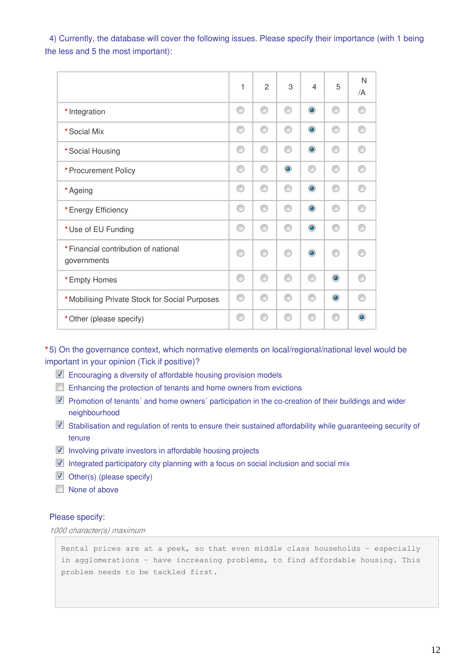4) Currently, the database will cover the following issues. Please specify their importance (with 1 being the less and 5 the most important):

|                                                     | 1 | $\overline{2}$ | 3         | $\overline{4}$ | 5         | N<br>/A |
|-----------------------------------------------------|---|----------------|-----------|----------------|-----------|---------|
| * Integration                                       | ⊙ | ∩              | ⊙         | $\bullet$      | ⊙         | ⋒       |
| * Social Mix                                        | ∩ | ⋒              | ∩         | $\bullet$      | ∩         | ⋒       |
| * Social Housing                                    | ∩ | ⋒              | ⋒         | $\circledcirc$ | ∩         | ∩       |
| * Procurement Policy                                | € | ∩              | $\bullet$ | ∩              | ∩         |         |
| * Ageing                                            | ∩ | ⋒              | ∩         | $\bullet$      | ∩         |         |
| * Energy Efficiency                                 | ∩ | ⋒              | ⋒         | $\bullet$      | ∩         | ⋒       |
| * Use of EU Funding                                 | ∩ | ∩              | ⋒         | $\circledcirc$ | ∩         |         |
| * Financial contribution of national<br>governments | ⋒ | ⋒              | ⋒         | $\bullet$      | ⋒         |         |
| * Empty Homes                                       | ∩ | ∩              | ⊙         | ∩              | $\bullet$ |         |
| *Mobilising Private Stock for Social Purposes       | ∩ | ∩              | ∩         | ∩              | $\bullet$ |         |
| * Other (please specify)                            | ⋒ | ⋒              | ⋒         | ∩              | ∩         | ۵       |

**\*** 5) On the governance context, which normative elements on local/regional/national level would be important in your opinion (Tick if positive)?

- **Encouraging a diversity of affordable housing provision models**
- Enhancing the protection of tenants and home owners from evictions
- **Promotion of tenants** and home owners' participation in the co-creation of their buildings and wider neighbourhood
- Stabilisation and regulation of rents to ensure their sustained affordability while guaranteeing security of tenure
- $\blacksquare$  Involving private investors in affordable housing projects
- $\blacksquare$  Integrated participatory city planning with a focus on social inclusion and social mix
- **Other(s)** (please specify)
- None of above

#### Please specify:

*1000 character(s) maximum*

Rental prices are at a peek, so that even middle class households – especially in agglomerations – have increasing problems, to find affordable housing. This problem needs to be tackled first.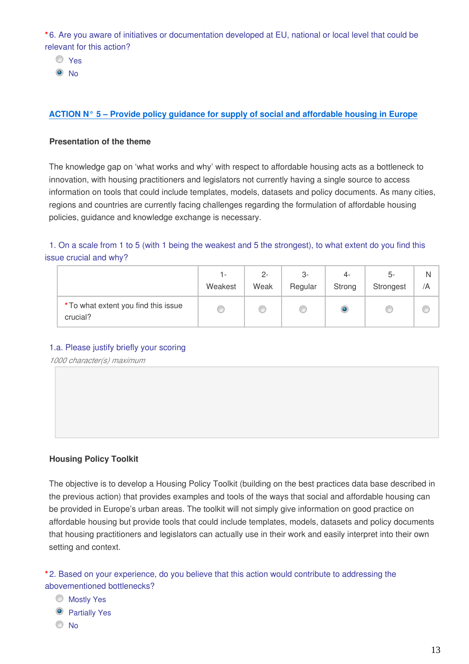**\*** 6. Are you aware of initiatives or documentation developed at EU, national or local level that could be relevant for this action?

O Yes

<sup>O</sup>No

## **[ACTION N° 5 – Provide policy guidance for supply of social and affordable housing in Europe](https://ec.europa.eu/futurium/en/housing/background-paper-public-feedback#Action%205)**

#### **Presentation of the theme**

The knowledge gap on 'what works and why' with respect to affordable housing acts as a bottleneck to innovation, with housing practitioners and legislators not currently having a single source to access information on tools that could include templates, models, datasets and policy documents. As many cities, regions and countries are currently facing challenges regarding the formulation of affordable housing policies, guidance and knowledge exchange is necessary.

1. On a scale from 1 to 5 (with 1 being the weakest and 5 the strongest), to what extent do you find this issue crucial and why?

|                                                  | ı –<br>Weakest | $2 -$<br>Weak | 3-<br>Regular | 4-<br>Strong | 5-<br>Strongest | /A |
|--------------------------------------------------|----------------|---------------|---------------|--------------|-----------------|----|
| * To what extent you find this issue<br>crucial? |                |               |               | O            |                 |    |

#### 1.a. Please justify briefly your scoring

*1000 character(s) maximum*

#### **Housing Policy Toolkit**

The objective is to develop a Housing Policy Toolkit (building on the best practices data base described in the previous action) that provides examples and tools of the ways that social and affordable housing can be provided in Europe's urban areas. The toolkit will not simply give information on good practice on affordable housing but provide tools that could include templates, models, datasets and policy documents that housing practitioners and legislators can actually use in their work and easily interpret into their own setting and context.

**\*** 2. Based on your experience, do you believe that this action would contribute to addressing the abovementioned bottlenecks?

- Mostly Yes
- **O** Partially Yes
- No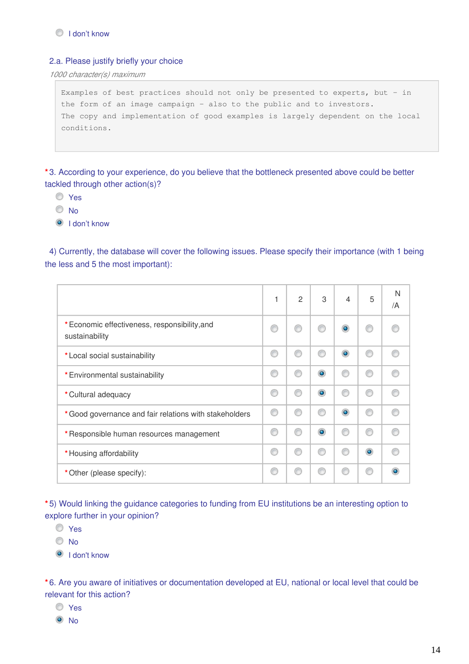#### 2.a. Please justify briefly your choice

*1000 character(s) maximum*

Examples of best practices should not only be presented to experts, but – in the form of an image campaign – also to the public and to investors. The copy and implementation of good examples is largely dependent on the local conditions.

**\*** 3. According to your experience, do you believe that the bottleneck presented above could be better tackled through other action(s)?

- Yes
- O No
- I don't know

4) Currently, the database will cover the following issues. Please specify their importance (with 1 being the less and 5 the most important):

|                                                                 |   | $\overline{2}$ | 3         | $\overline{4}$ | 5         | N<br>/A |
|-----------------------------------------------------------------|---|----------------|-----------|----------------|-----------|---------|
| * Economic effectiveness, responsibility, and<br>sustainability |   |                |           | $\bullet$      |           |         |
| * Local social sustainability                                   | ⊙ |                | ∩         | $\bullet$      | ⋒         |         |
| * Environmental sustainability                                  | € |                | $\bullet$ |                |           |         |
| * Cultural adequacy                                             | ⋒ |                | ۵         |                |           |         |
| * Good governance and fair relations with stakeholders          | ⊙ |                | ⋒         | $\bullet$      | ⋒         |         |
| * Responsible human resources management                        | ⊙ |                | ۰         |                | ⋒         |         |
| * Housing affordability                                         | ⋒ | C              | ⋒         |                | $\bullet$ |         |
| * Other (please specify):                                       | € |                |           |                |           |         |

**\*** 5) Would linking the guidance categories to funding from EU institutions be an interesting option to explore further in your opinion?

Yes

 $\odot$  No

<sup>O</sup> I don't know

**\*** 6. Are you aware of initiatives or documentation developed at EU, national or local level that could be relevant for this action?

- Yes
- $\odot$  No